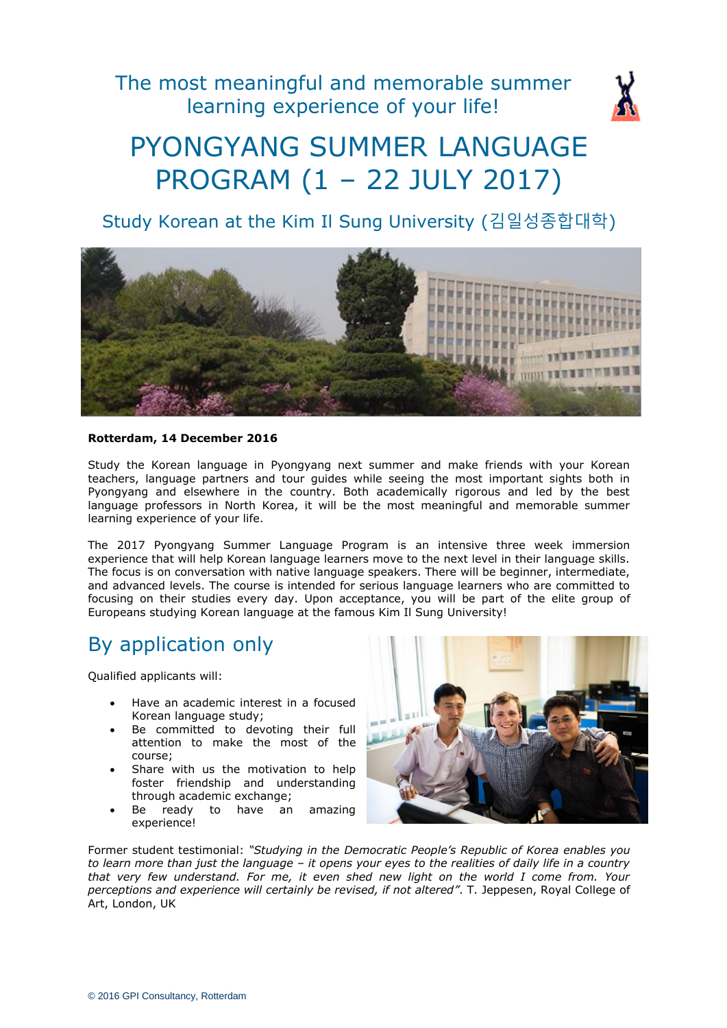The most meaningful and memorable summer learning experience of your life!



# PYONGYANG SUMMER LANGUAGE PROGRAM (1 – 22 JULY 2017)

Study Korean at the Kim Il Sung University (김일성종합대학)



#### **Rotterdam, 14 December 2016**

Study the Korean language in Pyongyang next summer and make friends with your Korean teachers, language partners and tour guides while seeing the most important sights both in Pyongyang and elsewhere in the country. Both academically rigorous and led by the best language professors in North Korea, it will be the most meaningful and memorable summer learning experience of your life.

The 2017 Pyongyang Summer Language Program is an intensive three week immersion experience that will help Korean language learners move to the next level in their language skills. The focus is on conversation with native language speakers. There will be beginner, intermediate, and advanced levels. The course is intended for serious language learners who are committed to focusing on their studies every day. Upon acceptance, you will be part of the elite group of Europeans studying Korean language at the famous Kim Il Sung University!

### By application only

Qualified applicants will:

- Have an academic interest in a focused Korean language study;
- Be committed to devoting their full attention to make the most of the course;
- Share with us the motivation to help foster friendship and understanding through academic exchange;
- Be ready to have an amazing experience!



Former student testimonial: *"Studying in the Democratic People's Republic of Korea enables you to learn more than just the language – it opens your eyes to the realities of daily life in a country that very few understand. For me, it even shed new light on the world I come from. Your perceptions and experience will certainly be revised, if not altered"*. T. Jeppesen, Royal College of Art, London, UK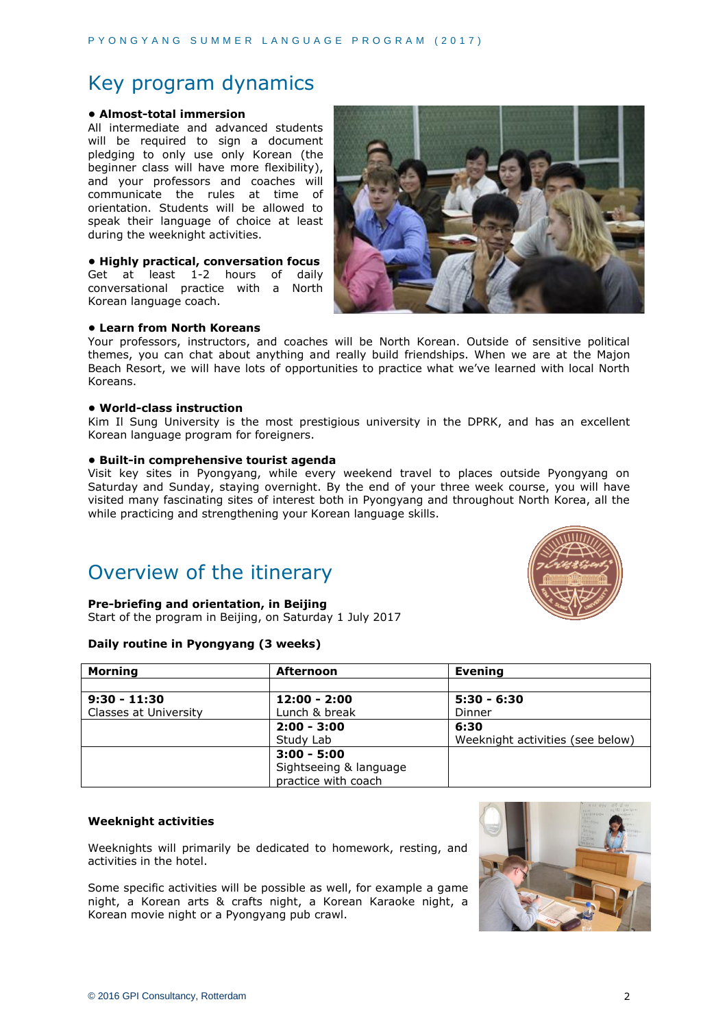## Key program dynamics

#### **• Almost-total immersion**

All intermediate and advanced students will be required to sign a document pledging to only use only Korean (the beginner class will have more flexibility), and your professors and coaches will communicate the rules at time of orientation. Students will be allowed to speak their language of choice at least during the weeknight activities.

#### **• Highly practical, conversation focus**

Get at least 1-2 hours of daily conversational practice with a North Korean language coach.



#### **• Learn from North Koreans**

Your professors, instructors, and coaches will be North Korean. Outside of sensitive political themes, you can chat about anything and really build friendships. When we are at the Majon Beach Resort, we will have lots of opportunities to practice what we've learned with local North Koreans.

#### **• World-class instruction**

Kim Il Sung University is the most prestigious university in the DPRK, and has an excellent Korean language program for foreigners.

#### **• Built-in comprehensive tourist agenda**

Visit key sites in Pyongyang, while every weekend travel to places outside Pyongyang on Saturday and Sunday, staying overnight. By the end of your three week course, you will have visited many fascinating sites of interest both in Pyongyang and throughout North Korea, all the while practicing and strengthening your Korean language skills.

# Overview of the itinerary

#### **Pre-briefing and orientation, in Beijing**

Start of the program in Beijing, on Saturday 1 July 2017

#### **Daily routine in Pyongyang (3 weeks)**



| Mornina               | Afternoon              | <b>Evening</b>                   |
|-----------------------|------------------------|----------------------------------|
|                       |                        |                                  |
| $9:30 - 11:30$        | $12:00 - 2:00$         | $5:30 - 6:30$                    |
| Classes at University | Lunch & break          | Dinner                           |
|                       | $2:00 - 3:00$          | 6:30                             |
|                       | Study Lab              | Weeknight activities (see below) |
|                       | $3:00 - 5:00$          |                                  |
|                       | Sightseeing & language |                                  |
|                       | practice with coach    |                                  |

#### **Weeknight activities**

Weeknights will primarily be dedicated to homework, resting, and activities in the hotel.

Some specific activities will be possible as well, for example a game night, a Korean arts & crafts night, a Korean Karaoke night, a Korean movie night or a Pyongyang pub crawl.

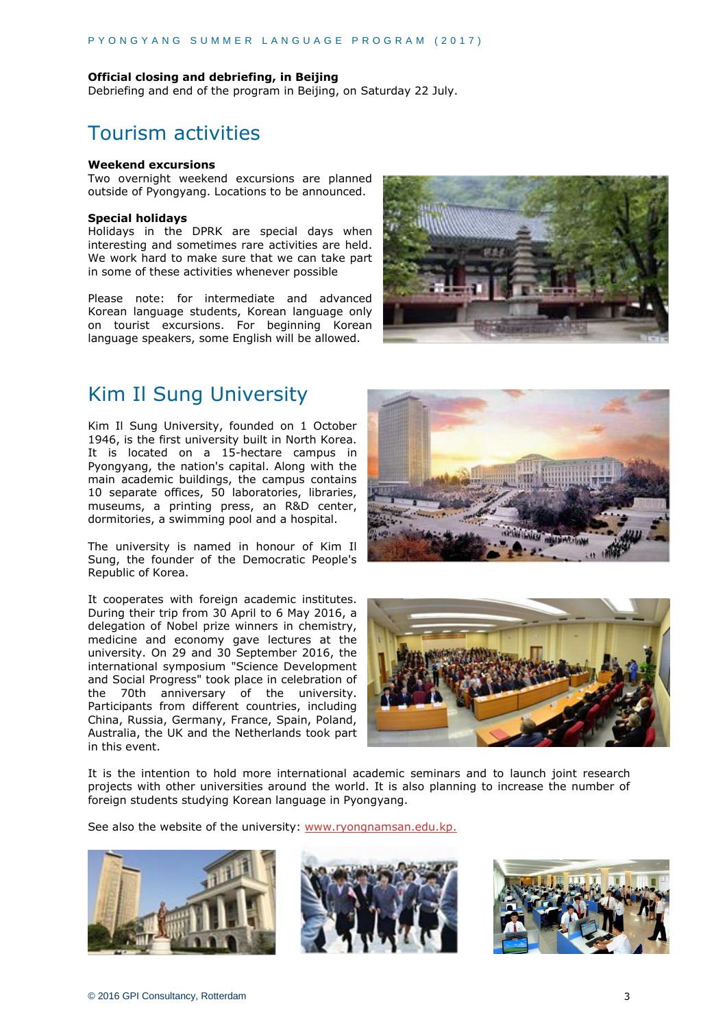#### **Official closing and debriefing, in Beijing**

Debriefing and end of the program in Beijing, on Saturday 22 July.

### Tourism activities

#### **Weekend excursions**

Two overnight weekend excursions are planned outside of Pyongyang. Locations to be announced.

#### **Special holidays**

Holidays in the DPRK are special days when interesting and sometimes rare activities are held. We work hard to make sure that we can take part in some of these activities whenever possible

Please note: for intermediate and advanced Korean language students, Korean language only on tourist excursions. For beginning Korean language speakers, some English will be allowed.



### Kim Il Sung University

Kim Il Sung University, founded on 1 October 1946, is the first university built in North Korea. It is located on a 15-hectare campus in Pyongyang, the nation's capital. Along with the main academic buildings, the campus contains 10 separate offices, 50 laboratories, libraries, museums, a printing press, an R&D center, dormitories, a swimming pool and a hospital.

The university is named in honour of Kim Il Sung, the founder of the Democratic People's Republic of Korea.

It cooperates with foreign academic institutes. During their trip from 30 April to 6 May 2016, a delegation of Nobel prize winners in chemistry, medicine and economy gave lectures at the university. On 29 and 30 September 2016, the international symposium "Science Development and Social Progress" took place in celebration of the 70th anniversary of the university. Participants from different countries, including China, Russia, Germany, France, Spain, Poland, Australia, the UK and the Netherlands took part in this event.





It is the intention to hold more international academic seminars and to launch joint research projects with other universities around the world. It is also planning to increase the number of foreign students studying Korean language in Pyongyang.

See also the website of the university: [www.ryongnamsan.edu.kp.](http://www.ryongnamsan.edu.kp/)





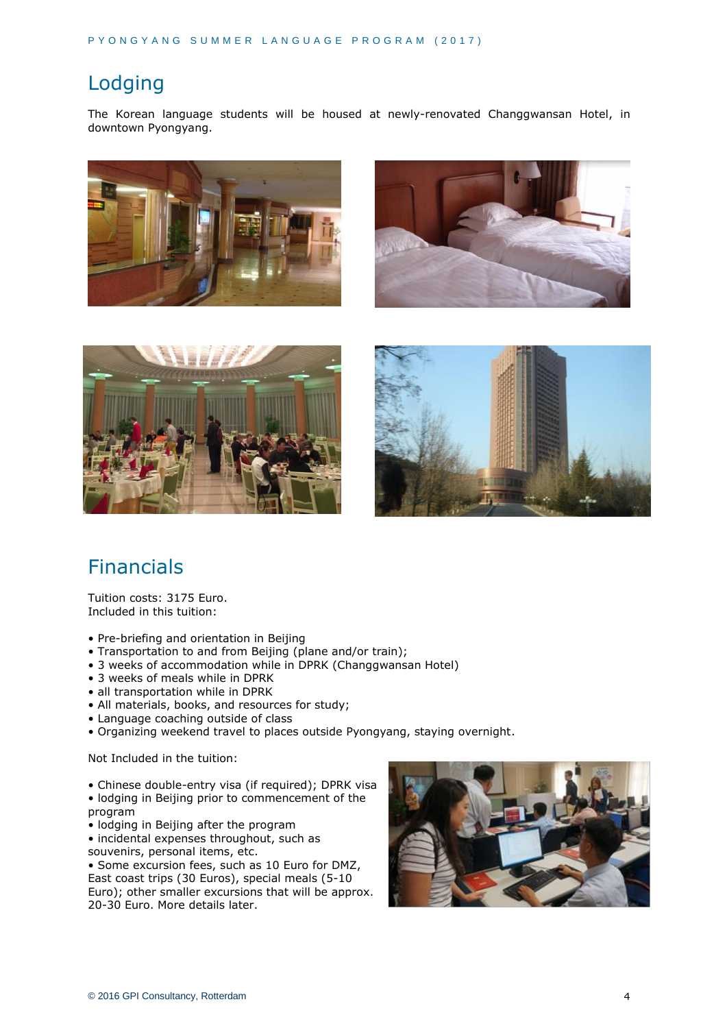# Lodging

The Korean language students will be housed at newly-renovated Changgwansan Hotel, in downtown Pyongyang.









# Financials

Tuition costs: 3175 Euro. Included in this tuition:

- Pre-briefing and orientation in Beijing
- Transportation to and from Beijing (plane and/or train);
- 3 weeks of accommodation while in DPRK (Changgwansan Hotel)
- 3 weeks of meals while in DPRK
- all transportation while in DPRK
- All materials, books, and resources for study;
- Language coaching outside of class
- Organizing weekend travel to places outside Pyongyang, staying overnight.

Not Included in the tuition:

- Chinese double-entry visa (if required); DPRK visa
- lodging in Beijing prior to commencement of the program
- lodging in Beijing after the program
- incidental expenses throughout, such as souvenirs, personal items, etc.

• Some excursion fees, such as 10 Euro for DMZ, East coast trips (30 Euros), special meals (5-10 Euro); other smaller excursions that will be approx. 20-30 Euro. More details later.